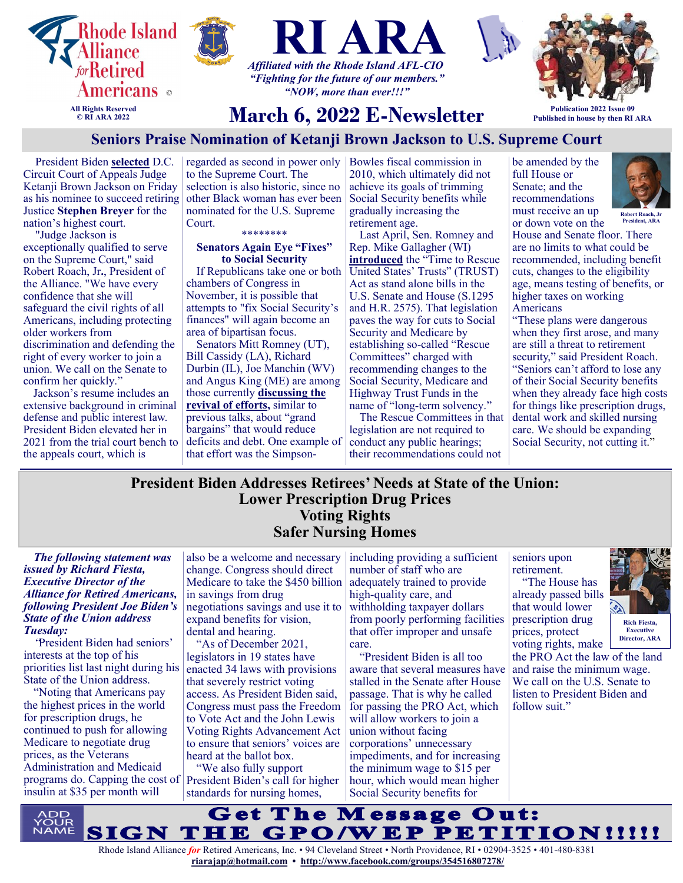





**Publication 2022 Issue 09 Published in house by then RI ARA**

# **March 6, 2022 E-Newsletter**

# **Seniors Praise Nomination of Ketanji Brown Jackson to U.S. Supreme Court**

President Biden **[selected](https://nam12.safelinks.protection.outlook.com/?url=https%3A%2F%2Fu1584542.ct.sendgrid.net%2Fss%2Fc%2FatcYNHk4Eh2YdGnwBh-YDL0195r-gNaKL0NXw0E6jsZFKIOoh-CMEsG2ik8DL5UmmkPhA4ODwMKWkT8FNVknC0gM-PgHulFhpsdDEqXfxNP5d8xeDg8YHX6rzh0knQZm7CqTdtiLZjOyZbwk7d2_FAF8dYyNw)** D.C. Circuit Court of Appeals Judge Ketanji Brown Jackson on Friday as his nominee to succeed retiring Justice **Stephen Breyer** for the nation's highest court.

"Judge Jackson is exceptionally qualified to serve on the Supreme Court," said Robert Roach, Jr**.**, President of the Alliance. "We have every confidence that she will safeguard the civil rights of all Americans, including protecting older workers from discrimination and defending the right of every worker to join a union. We call on the Senate to confirm her quickly."

Jackson's resume includes an extensive background in criminal defense and public interest law. President Biden elevated her in 2021 from the trial court bench to the appeals court, which is

regarded as second in power only Bowles fiscal commission in to the Supreme Court. The selection is also historic, since no other Black woman has ever been nominated for the U.S. Supreme Court.

#### \*\*\*\*\*\*\*\*

#### **Senators Again Eye "Fixes" to Social Security**

If Republicans take one or both chambers of Congress in November, it is possible that attempts to "fix Social Security's finances" will again become an area of bipartisan focus.

Senators Mitt Romney (UT), Bill Cassidy (LA), Richard Durbin (IL), Joe Manchin (WV) and Angus King (ME) are among those currently **[discussing the](https://nam12.safelinks.protection.outlook.com/?url=https%3A%2F%2Fu1584542.ct.sendgrid.net%2Fss%2Fc%2FZsYp6Jc2ATNP3MkVzvte6CDSVe12UhzYJ5GZO3gBl6UXe7ITSoPFwS7ZoN8u_hfm6tIX6bCDYtrZ-f2Wv1jfWkZMchYdc6ZCbWXPuU8X6ySiA3elO2OtNaQpVvjunfuju1m8VAwsD22lNE6Skabak06-6GDUb)  [revival of efforts,](https://nam12.safelinks.protection.outlook.com/?url=https%3A%2F%2Fu1584542.ct.sendgrid.net%2Fss%2Fc%2FZsYp6Jc2ATNP3MkVzvte6CDSVe12UhzYJ5GZO3gBl6UXe7ITSoPFwS7ZoN8u_hfm6tIX6bCDYtrZ-f2Wv1jfWkZMchYdc6ZCbWXPuU8X6ySiA3elO2OtNaQpVvjunfuju1m8VAwsD22lNE6Skabak06-6GDUb)** similar to previous talks, about "grand bargains" that would reduce deficits and debt. One example of that effort was the Simpson-

2010, which ultimately did not achieve its goals of trimming Social Security benefits while gradually increasing the retirement age.

Last April, Sen. Romney and Rep. Mike Gallagher (WI) **[introduced](https://nam12.safelinks.protection.outlook.com/?url=https%3A%2F%2Fu1584542.ct.sendgrid.net%2Fss%2Fc%2FZsYp6Jc2ATNP3MkVzvte6IX7LXmCC1H1bxMzsGmXS2jlRyos_F8st-ZMVgWUFgB1TfrB6rWDr2WwldsO7r-aEM6XYgXw1zjlpSlhL3RGGJqbaU4DMeVorI-fZ6X_jj9YiQvdHSsKAY2fBqsRcFVYFsownT9n4)** the "Time to Rescue United States' Trusts" (TRUST) Act as stand alone bills in the U.S. Senate and House (S.1295 and H.R. 2575). That legislation paves the way for cuts to Social Security and Medicare by establishing so-called "Rescue Committees" charged with recommending changes to the Social Security, Medicare and Highway Trust Funds in the name of "long-term solvency."

The Rescue Committees in that legislation are not required to conduct any public hearings; their recommendations could not

be amended by the full House or Senate; and the recommendations must receive an up



or down vote on the House and Senate floor. There are no limits to what could be recommended, including benefit cuts, changes to the eligibility age, means testing of benefits, or higher taxes on working Americans **Robert Roach, Jr President, ARA**

"These plans were dangerous when they first arose, and many are still a threat to retirement security," said President Roach. "Seniors can't afford to lose any of their Social Security benefits when they already face high costs for things like prescription drugs, dental work and skilled nursing care. We should be expanding Social Security, not cutting it."

# **President Biden Addresses Retirees' Needs at State of the Union: Lower Prescription Drug Prices Voting Rights Safer Nursing Homes**

#### *The following statement was issued by Richard Fiesta, Executive Director of the Alliance for Retired Americans, following President Joe Biden's State of the Union address Tuesday:*

"President Biden had seniors' interests at the top of his priorities list last night during his State of the Union address.

"Noting that Americans pay the highest prices in the world for prescription drugs, he continued to push for allowing Medicare to negotiate drug prices, as the Veterans Administration and Medicaid programs do. Capping the cost of President Biden's call for higher insulin at \$35 per month will

also be a welcome and necessary including providing a sufficient change. Congress should direct Medicare to take the \$450 billion in savings from drug negotiations savings and use it to expand benefits for vision, dental and hearing.

"As of December 2021, legislators in 19 states have enacted 34 laws with provisions that severely restrict voting access. As President Biden said, Congress must pass the Freedom to Vote Act and the John Lewis Voting Rights Advancement Act to ensure that seniors' voices are heard at the ballot box.

"We also fully support standards for nursing homes,

number of staff who are adequately trained to provide high-quality care, and withholding taxpayer dollars from poorly performing facilities that offer improper and unsafe care.

"President Biden is all too aware that several measures have stalled in the Senate after House passage. That is why he called for passing the PRO Act, which will allow workers to join a union without facing corporations' unnecessary impediments, and for increasing the minimum wage to \$15 per hour, which would mean higher Social Security benefits for

seniors upon retirement. "The House has already passed bills that would lower prescription drug prices, protect



voting rights, make the PRO Act the law of the land and raise the minimum wage. We call on the U.S. Senate to listen to President Biden and follow suit."

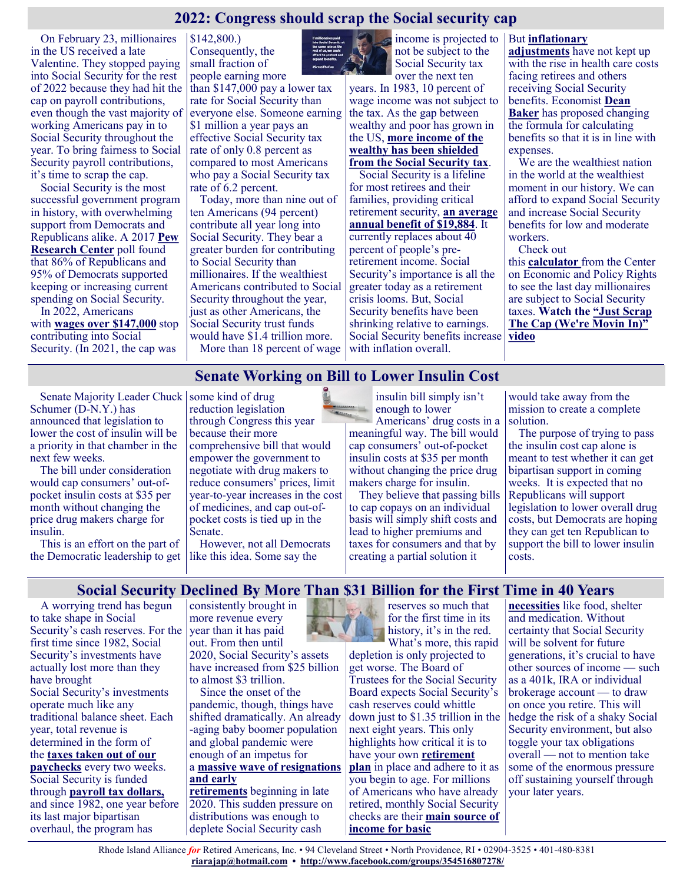# **2022: Congress should scrap the Social security cap**

On February 23, millionaires in the US received a late Valentine. They stopped paying into Social Security for the rest of 2022 because they had hit the cap on payroll contributions, even though the vast majority of working Americans pay in to Social Security throughout the year. To bring fairness to Social Security payroll contributions, it's time to scrap the cap.

Social Security is the most successful government program in history, with overwhelming support from Democrats and Republicans alike. A 2017 **[Pew](http://www.people-press.org/2017/04/24/how-republicans-and-democrats-view-federal-spending/)  [Research Center](http://www.people-press.org/2017/04/24/how-republicans-and-democrats-view-federal-spending/)** poll found that 86% of Republicans and 95% of Democrats supported keeping or increasing current spending on Social Security.

In 2022, Americans with **[wages over \\$147,000](https://www.ssa.gov/news/press/factsheets/colafacts2022.pdf)** stop contributing into Social Security. (In 2021, the cap was

\$142,800.) Consequently, the small fraction of people earning more

than \$147,000 pay a lower tax rate for Social Security than everyone else. Someone earning \$1 million a year pays an effective Social Security tax rate of only 0.8 percent as compared to most Americans who pay a Social Security tax rate of 6.2 percent.

Today, more than nine out of ten Americans (94 percent) contribute all year long into Social Security. They bear a greater burden for contributing to Social Security than millionaires. If the wealthiest Americans contributed to Social Security throughout the year, just as other Americans, the Social Security trust funds would have \$1.4 trillion more. More than 18 percent of wage  $\vert$  with inflation overall.



not be subject to the Social Security tax

over the next ten years. In 1983, 10 percent of wage income was not subject to the tax. As the gap between wealthy and poor has grown in the US, **[more income of the](https://cepr.net/the-impact-of-upward-redistribution-on-social-security-solvency-2020-update/)  [wealthy has been shielded](https://cepr.net/the-impact-of-upward-redistribution-on-social-security-solvency-2020-update/)  [from the Social Security tax](https://cepr.net/the-impact-of-upward-redistribution-on-social-security-solvency-2020-update/)**.

Social Security is a lifeline for most retirees and their families, providing critical retirement security, **[an average](https://justcareusa.org/social-security-benefits-will-increase-nearly-6-percent-in-2022/)  [annual benefit of \\$19,884](https://justcareusa.org/social-security-benefits-will-increase-nearly-6-percent-in-2022/)**. It currently replaces about 40 percent of people's preretirement income. Social Security's importance is all the greater today as a retirement crisis looms. But, Social Security benefits have been shrinking relative to earnings. Social Security benefits increase

#### income is projected to But **[inflationary](https://justcareusa.org/social-security-benefits-barely-rising-in-2017/)**

**[adjustments](https://justcareusa.org/social-security-benefits-barely-rising-in-2017/)** have not kept up with the rise in health care costs facing retirees and others receiving Social Security benefits. Economist **[Dean](http://cepr.net/blogs/cepr-blog/time-to-increase-social-security-benefits-for-low-and-moderate-wage-earners)  [Baker](http://cepr.net/blogs/cepr-blog/time-to-increase-social-security-benefits-for-low-and-moderate-wage-earners)** has proposed changing the formula for calculating benefits so that it is in line with expenses.

We are the wealthiest nation in the world at the wealthiest moment in our history. We can afford to expand Social Security and increase Social Security benefits for low and moderate workers.

Check out

this **[calculator](https://cepr.net/ss-payroll-tax-2022/)** from the Center on Economic and Policy Rights to see the last day millionaires are subject to Social Security taxes. **[Watch the "Just Scrap](https://www.bing.com/videos/search?q=scrap+the+cap+we%27re+movin+in&qpvt=scrap+the+cap+we%27re+movin+in&view=detail&mid=4C9CCEE2DDCD2530A9A54C9CCEE2DDCD2530A9A5&&FORM=VRDGAR&ru=%2Fvideos%2Fsearch%3Fq%3Dscrap%2Bthe%2Bcap%2Bwe%2527re%2Bmovin%2Bin%26qpvt%3Dsc)  [The Cap \(We're Movin In\)"](https://www.bing.com/videos/search?q=scrap+the+cap+we%27re+movin+in&qpvt=scrap+the+cap+we%27re+movin+in&view=detail&mid=4C9CCEE2DDCD2530A9A54C9CCEE2DDCD2530A9A5&&FORM=VRDGAR&ru=%2Fvideos%2Fsearch%3Fq%3Dscrap%2Bthe%2Bcap%2Bwe%2527re%2Bmovin%2Bin%26qpvt%3Dsc)  [video](https://www.bing.com/videos/search?q=scrap+the+cap+we%27re+movin+in&qpvt=scrap+the+cap+we%27re+movin+in&view=detail&mid=4C9CCEE2DDCD2530A9A54C9CCEE2DDCD2530A9A5&&FORM=VRDGAR&ru=%2Fvideos%2Fsearch%3Fq%3Dscrap%2Bthe%2Bcap%2Bwe%2527re%2Bmovin%2Bin%26qpvt%3Dsc)**

#### **Senate Working on Bill to Lower Insulin Cost**

Senate Majority Leader Chuck Schumer (D-N.Y.) has announced that legislation to lower the cost of insulin will be a priority in that chamber in the next few weeks.

The bill under consideration would cap consumers' out-ofpocket insulin costs at \$35 per month without changing the price drug makers charge for insulin.

This is an effort on the part of the Democratic leadership to get like this idea. Some say the

some kind of drug reduction legislation through Congress this year because their more comprehensive bill that would empower the government to negotiate with drug makers to reduce consumers' prices, limit year-to-year increases in the cost of medicines, and cap out-ofpocket costs is tied up in the Senate.

However, not all Democrats

insulin bill simply isn't enough to lower Americans' drug costs in a meaningful way. The bill would cap consumers' out-of-pocket insulin costs at \$35 per month without changing the price drug makers charge for insulin.

They believe that passing bills to cap copays on an individual basis will simply shift costs and lead to higher premiums and taxes for consumers and that by creating a partial solution it

would take away from the mission to create a complete solution.

The purpose of trying to pass the insulin cost cap alone is meant to test whether it can get bipartisan support in coming weeks. It is expected that no Republicans will support legislation to lower overall drug costs, but Democrats are hoping they can get ten Republican to support the bill to lower insulin costs.

#### **Social Security Declined By More Than \$31 Billion for the First Time in 40 Years**

A worrying trend has begun to take shape in Social Security's cash reserves. For the first time since 1982, Social Security's investments have actually lost more than they have brought Social Security's investments operate much like any traditional balance sheet. Each year, total revenue is determined in the form of the **[taxes taken out of our](https://www.gobankingrates.com/retirement/social-security/social-security-taxes-secure-gig-workers-retirement/?utm_campaign=1157241&utm_source=msn.com&utm_content=5&utm_medium=rss)  [paychecks](https://www.gobankingrates.com/retirement/social-security/social-security-taxes-secure-gig-workers-retirement/?utm_campaign=1157241&utm_source=msn.com&utm_content=5&utm_medium=rss)** every two weeks. Social Security is funded through **[payroll tax dollars,](https://www.gobankingrates.com/retirement/social-security/calculate-social-security-tax-rate/?utm_campaign=1157241&utm_source=msn.com&utm_content=6&utm_medium=rss)** and since 1982, one year before its last major bipartisan overhaul, the program has

consistently brought in more revenue every year than it has paid out. From then until 2020, Social Security's assets have increased from \$25 billion to almost \$3 trillion.

Since the onset of the pandemic, though, things have shifted dramatically. An already -aging baby boomer population and global pandemic were enough of an impetus for a **[massive wave of resignations](https://www.gobankingrates.com/retirement/social-security/early-retirement-social-security-benefits-didnt-factor-subset-pandemic-retirees/?utm_campaign=1157241&utm_source=msn.com&utm_content=7&utm_medium=rss)  [and early](https://www.gobankingrates.com/retirement/social-security/early-retirement-social-security-benefits-didnt-factor-subset-pandemic-retirees/?utm_campaign=1157241&utm_source=msn.com&utm_content=7&utm_medium=rss)  [retirements](https://www.gobankingrates.com/retirement/social-security/early-retirement-social-security-benefits-didnt-factor-subset-pandemic-retirees/?utm_campaign=1157241&utm_source=msn.com&utm_content=7&utm_medium=rss)** beginning in late

2020. This sudden pressure on distributions was enough to deplete Social Security cash

reserves so much that for the first time in its history, it's in the red. What's more, this rapid

depletion is only projected to get worse. The Board of Trustees for the Social Security Board expects Social Security's cash reserves could whittle down just to \$1.35 trillion in the next eight years. This only highlights how critical it is to have your own **[retirement](https://www.gobankingrates.com/category/retirement/planning/?utm_campaign=1157241&utm_source=msn.com&utm_content=10&utm_medium=rss)  [plan](https://www.gobankingrates.com/category/retirement/planning/?utm_campaign=1157241&utm_source=msn.com&utm_content=10&utm_medium=rss)** in place and adhere to it as you begin to age. For millions of Americans who have already retired, monthly Social Security checks are their **[main source of](https://www.gobankingrates.com/retirement/social-security/worst-states-to-live-on-just-social-security-check/?utm_campaign=1157241&utm_source=msn.com&utm_content=11&utm_medium=rss)  [income for basic](https://www.gobankingrates.com/retirement/social-security/worst-states-to-live-on-just-social-security-check/?utm_campaign=1157241&utm_source=msn.com&utm_content=11&utm_medium=rss)** 

**[necessities](https://www.gobankingrates.com/retirement/social-security/worst-states-to-live-on-just-social-security-check/?utm_campaign=1157241&utm_source=msn.com&utm_content=11&utm_medium=rss)** like food, shelter and medication. Without certainty that Social Security will be solvent for future generations, it's crucial to have other sources of income — such as a 401k, IRA or individual brokerage account — to draw on once you retire. This will hedge the risk of a shaky Social Security environment, but also toggle your tax obligations overall — not to mention take some of the enormous pressure off sustaining yourself through your later years.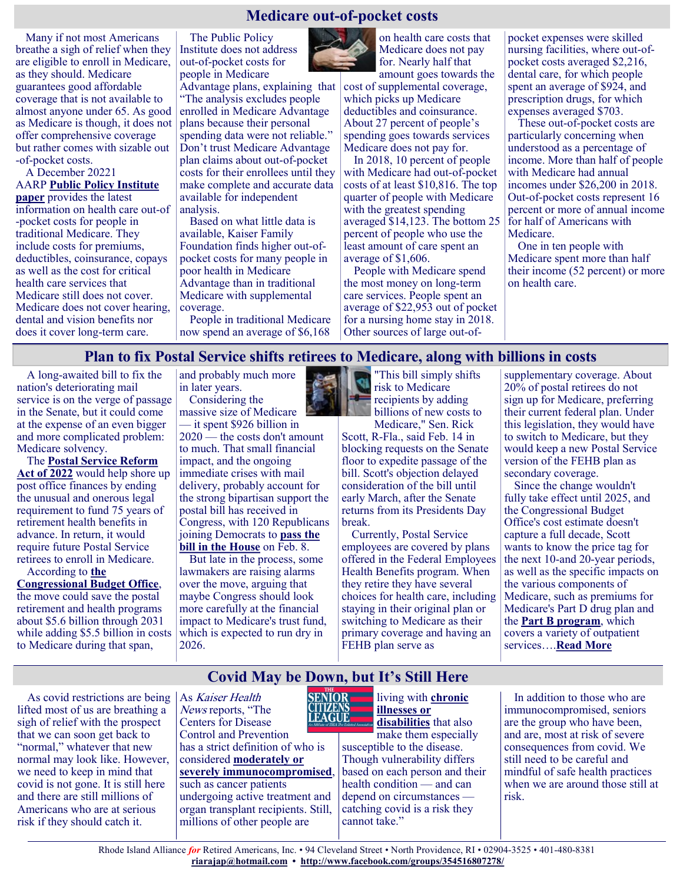#### **Medicare out-of-pocket costs**

Many if not most Americans breathe a sigh of relief when they are eligible to enroll in Medicare, as they should. Medicare guarantees good affordable coverage that is not available to almost anyone under 65. As good as Medicare is though, it does not offer comprehensive coverage but rather comes with sizable out -of-pocket costs.

A December 20221 AARP **[Public Policy Institute](https://www.aarp.org/content/dam/aarp/ppi/2021/12/medicare-beneficiaries-out-of-pocket-health-care-spending.doi.10.26419-2Fppi.00105.002.pdf)  [paper](https://www.aarp.org/content/dam/aarp/ppi/2021/12/medicare-beneficiaries-out-of-pocket-health-care-spending.doi.10.26419-2Fppi.00105.002.pdf)** provides the latest information on health care out-of -pocket costs for people in traditional Medicare. They include costs for premiums, deductibles, coinsurance, copays as well as the cost for critical health care services that Medicare still does not cover. Medicare does not cover hearing, dental and vision benefits nor does it cover long-term care.

The Public Policy Institute does not address out-of-pocket costs for people in Medicare

Advantage plans, explaining that "The analysis excludes people enrolled in Medicare Advantage plans because their personal spending data were not reliable." Don't trust Medicare Advantage plan claims about out-of-pocket costs for their enrollees until they make complete and accurate data available for independent analysis.

Based on what little data is available, Kaiser Family Foundation finds higher out-ofpocket costs for many people in poor health in Medicare Advantage than in traditional Medicare with supplemental coverage.

People in traditional Medicare now spend an average of \$6,168



on health care costs that Medicare does not pay for. Nearly half that amount goes towards the

cost of supplemental coverage, which picks up Medicare deductibles and coinsurance. About 27 percent of people's spending goes towards services Medicare does not pay for.

In 2018, 10 percent of people with Medicare had out-of-pocket costs of at least \$10,816. The top quarter of people with Medicare with the greatest spending averaged \$14,123. The bottom 25 percent of people who use the least amount of care spent an average of \$1,606.

People with Medicare spend the most money on long-term care services. People spent an average of \$22,953 out of pocket for a nursing home stay in 2018. Other sources of large out-ofpocket expenses were skilled nursing facilities, where out-ofpocket costs averaged \$2,216, dental care, for which people spent an average of \$924, and prescription drugs, for which expenses averaged \$703.

These out-of-pocket costs are particularly concerning when understood as a percentage of income. More than half of people with Medicare had annual incomes under \$26,200 in 2018. Out-of-pocket costs represent 16 percent or more of annual income for half of Americans with Medicare.

One in ten people with Medicare spent more than half their income (52 percent) or more on health care.

#### **Plan to fix Postal Service shifts retirees to Medicare, along with billions in costs**

A long-awaited bill to fix the nation's deteriorating mail service is on the verge of passage in the Senate, but it could come at the expense of an even bigger and more complicated problem: Medicare solvency.

The **[Postal Service Reform](https://www.congress.gov/bill/117th-congress/house-bill/3076)  [Act of 2022](https://www.congress.gov/bill/117th-congress/house-bill/3076)** would help shore up post office finances by ending the unusual and onerous legal requirement to fund 75 years of retirement health benefits in advance. In return, it would require future Postal Service retirees to enroll in Medicare.

According to **[the](https://www.cbo.gov/system/files/2022-02/hr3076_rules.pdf)  [Congressional Budget Office](https://www.cbo.gov/system/files/2022-02/hr3076_rules.pdf)**, the move could save the postal retirement and health programs about \$5.6 billion through 2031 while adding \$5.5 billion in costs to Medicare during that span,

and probably much more in later years. Considering the

massive size of Medicare — it spent \$926 billion in

2020 — the costs don't amount to much. That small financial impact, and the ongoing immediate crises with mail delivery, probably account for the strong bipartisan support the postal bill has received in Congress, with 120 Republicans joining Democrats to **[pass the](https://www.nytimes.com/2022/02/08/us/politics/postal-service-overhaul-house.html)  [bill in the House](https://www.nytimes.com/2022/02/08/us/politics/postal-service-overhaul-house.html)** on Feb. 8.

But late in the process, some lawmakers are raising alarms over the move, arguing that maybe Congress should look more carefully at the financial impact to Medicare's trust fund, which is expected to run dry in 2026.



"This bill simply shifts risk to Medicare recipients by adding billions of new costs to Medicare," Sen. Rick

Scott, R-Fla., said Feb. 14 in blocking requests on the Senate floor to expedite passage of the bill. Scott's objection delayed consideration of the bill until early March, after the Senate returns from its Presidents Day break.

Currently, Postal Service employees are covered by plans offered in the Federal Employees Health Benefits program. When they retire they have several choices for health care, including staying in their original plan or switching to Medicare as their primary coverage and having an FEHB plan serve as

supplementary coverage. About 20% of postal retirees do not sign up for Medicare, preferring their current federal plan. Under this legislation, they would have to switch to Medicare, but they would keep a new Postal Service version of the FEHB plan as secondary coverage.

Since the change wouldn't fully take effect until 2025, and the Congressional Budget Office's cost estimate doesn't capture a full decade, Scott wants to know the price tag for the next 10-and 20-year periods, as well as the specific impacts on the various components of Medicare, such as premiums for Medicare's Part D drug plan and the **[Part B program](https://www.medicare.gov/what-medicare-covers/what-part-b-covers)**, which covers a variety of outpatient services….**[Read More](https://www.npr.org/sections/health-shots/2022/02/24/1082248921/postal-service-reform-act-medicare)**

As covid restrictions are being lifted most of us are breathing a sigh of relief with the prospect that we can soon get back to "normal," whatever that new normal may look like. However, we need to keep in mind that covid is not gone. It is still here and there are still millions of Americans who are at serious risk if they should catch it.

As Kaiser Health News reports, "The Centers for Disease Control and Prevention has a strict definition of who is considered **[moderately or](https://www.cdc.gov/coronavirus/2019-ncov/vaccines/recommendations/immuno.html#:~:text=Many%20conditions%20and%20treatments%20can,or%20cancers%20of%20the%20blood)  [severely immunocompromised](https://www.cdc.gov/coronavirus/2019-ncov/vaccines/recommendations/immuno.html#:~:text=Many%20conditions%20and%20treatments%20can,or%20cancers%20of%20the%20blood)**, such as cancer patients undergoing active treatment and organ transplant recipients. Still, millions of other people are



**Covid May be Down, but It's Still Here** 

living with **[chronic](https://www.cdc.gov/coronavirus/2019-ncov/need-extra-precautions/people-with-medical-conditions.html)  [illnesses or](https://www.cdc.gov/coronavirus/2019-ncov/need-extra-precautions/people-with-medical-conditions.html)  [disabilities](https://www.cdc.gov/coronavirus/2019-ncov/need-extra-precautions/people-with-medical-conditions.html)** that also

make them especially susceptible to the disease. Though vulnerability differs based on each person and their health condition — and can depend on circumstances catching covid is a risk they cannot take."

In addition to those who are immunocompromised, seniors are the group who have been, and are, most at risk of severe consequences from covid. We still need to be careful and mindful of safe health practices when we are around those still at risk.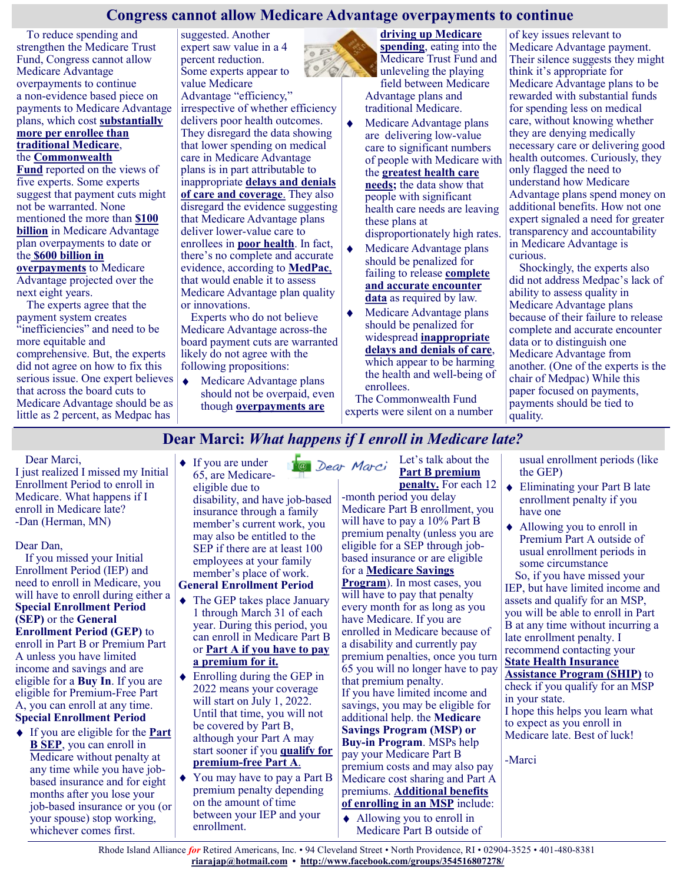#### **Congress cannot allow Medicare Advantage overpayments to continue**

 $0E$  $\circ$ 

To reduce spending and strengthen the Medicare Trust Fund, Congress cannot allow Medicare Advantage overpayments to continue a non-evidence based piece on payments to Medicare Advantage plans, which cost **[substantially](https://justcareusa.org/medpac-traditional-medicare-consistently-costs-less-than-medicare-advantage/)  [more per enrollee than](https://justcareusa.org/medpac-traditional-medicare-consistently-costs-less-than-medicare-advantage/)  [traditional Medicare](https://justcareusa.org/medpac-traditional-medicare-consistently-costs-less-than-medicare-advantage/)**, the **[Commonwealth](https://www.commonwealthfund.org/blog/2022/taking-stock-medicare-advantage-payment)** 

**[Fund](https://www.commonwealthfund.org/blog/2022/taking-stock-medicare-advantage-payment)** reported on the views of five experts. Some experts suggest that payment cuts might not be warranted. None mentioned the more than **[\\$100](https://khn.org/news/article/medicare-advantage-overpayments-cost-taxpayers-billions-researcher-says/)  [billion](https://khn.org/news/article/medicare-advantage-overpayments-cost-taxpayers-billions-researcher-says/)** in Medicare Advantage plan overpayments to date or the **[\\$600 billion in](https://khn.org/news/article/medicare-advantage-overpayments-cost-taxpayers-billions-researcher-says/)** 

**[overpayments](https://khn.org/news/article/medicare-advantage-overpayments-cost-taxpayers-billions-researcher-says/)** to Medicare Advantage projected over the next eight years.

The experts agree that the payment system creates "inefficiencies" and need to be more equitable and comprehensive. But, the experts did not agree on how to fix this serious issue. One expert believes that across the board cuts to Medicare Advantage should be as little as 2 percent, as Medpac has

suggested. Another expert saw value in a 4 percent reduction. Some experts appear to value Medicare

Advantage "efficiency," irrespective of whether efficiency delivers poor health outcomes. They disregard the data showing that lower spending on medical care in Medicare Advantage plans is in part attributable to inappropriate **[delays and denials](https://justcareusa.org/inappropriate-medicare-advantage-care-denials-appear-widespread/)  [of care and coverage](https://justcareusa.org/inappropriate-medicare-advantage-care-denials-appear-widespread/)**. They also disregard the evidence suggesting that Medicare Advantage plans deliver lower-value care to enrollees in **[poor health](https://justcareusa.org/high-proportion-of-people-flee-medicare-advantage-at-end-of-life/)**. In fact, there's no complete and accurate evidence, according to **[MedPac](https://justcareusa.org/dont-judge-a-medicare-advantage-plan-by-its-stars/)**, that would enable it to assess Medicare Advantage plan quality or innovations.

Experts who do not believe Medicare Advantage across-the board payment cuts are warranted likely do not agree with the following propositions:

 $\ddot{\bullet}$ Medicare Advantage plans should not be overpaid, even though **[overpayments are](https://justcareusa.org/its-time-to-stop-overpaying-medicare-advantage-plans/)** 

**[driving up Medicare](https://justcareusa.org/its-time-to-stop-overpaying-medicare-advantage-plans/)  [spending](https://justcareusa.org/its-time-to-stop-overpaying-medicare-advantage-plans/)**, eating into the Medicare Trust Fund and unleveling the playing field between Medicare Advantage plans and traditional Medicare.

- Medicare Advantage plans are delivering low-value care to significant numbers of people with Medicare with the **[greatest health care](https://justcareusa.org/people-with-serious-health-needs-more-likely-to-disenroll-from-medicare-advantage-plans/)  [needs;](https://justcareusa.org/people-with-serious-health-needs-more-likely-to-disenroll-from-medicare-advantage-plans/)** the data show that people with significant health care needs are leaving these plans at disproportionately high rates.
- Medicare Advantage plans should be penalized for failing to release **[complete](https://justcareusa.org/avoid-bad-medicare-advantage-plans/)  [and accurate](https://justcareusa.org/avoid-bad-medicare-advantage-plans/) encounter [data](https://justcareusa.org/avoid-bad-medicare-advantage-plans/)** as required by law.
- Medicare Advantage plans should be penalized for widespread **[inappropriate](https://justcareusa.org/inappropriate-medicare-advantage-care-denials-appear-widespread/)  [delays and denials of care](https://justcareusa.org/inappropriate-medicare-advantage-care-denials-appear-widespread/)**, which appear to be harming the health and well-being of enrollees.

The Commonwealth Fund experts were silent on a number of key issues relevant to Medicare Advantage payment. Their silence suggests they might think it's appropriate for Medicare Advantage plans to be rewarded with substantial funds for spending less on medical care, without knowing whether they are denying medically necessary care or delivering good health outcomes. Curiously, they only flagged the need to understand how Medicare Advantage plans spend money on additional benefits. How not one expert signaled a need for greater transparency and accountability in Medicare Advantage is curious.

Shockingly, the experts also did not address Medpac's lack of ability to assess quality in Medicare Advantage plans because of their failure to release complete and accurate encounter data or to distinguish one Medicare Advantage from another. (One of the experts is the chair of Medpac) While this paper focused on payments, payments should be tied to quality.

**Dear Marci:** *What happens if I enroll in Medicare late?*

Dear Marci,

I just realized I missed my Initial Enrollment Period to enroll in Medicare. What happens if I enroll in Medicare late? -Dan (Herman, MN)

Dear Dan,

If you missed your Initial Enrollment Period (IEP) and need to enroll in Medicare, you will have to enroll during either a **Special Enrollment Period (SEP)** or the **General Enrollment Period (GEP)** to enroll in Part B or Premium Part A unless you have limited income and savings and are eligible for a **Buy In**. If you are eligible for Premium-Free Part

A, you can enroll at any time. **Special Enrollment Period**

If you are eligible for the **[Part](https://medicarerights.us15.list-manage.com/track/click?u=1621f54a596f3717c22815356&id=1c2b96974e&e=88d22ba1fe)  [B SEP](https://medicarerights.us15.list-manage.com/track/click?u=1621f54a596f3717c22815356&id=1c2b96974e&e=88d22ba1fe)**, you can enroll in Medicare without penalty at any time while you have jobbased insurance and for eight months after you lose your job-based insurance or you (or your spouse) stop working, whichever comes first.

◆ If you are under 1@ Dear Marci 65, are Medicareeligible due to disability, and have job-based insurance through a family member's current work, you may also be entitled to the SEP if there are at least 100 employees at your family member's place of work.

# **General Enrollment Period**

- The GEP takes place January 1 through March 31 of each year. During this period, you can enroll in Medicare Part B or **[Part A if you have to pay](https://medicarerights.us15.list-manage.com/track/click?u=1621f54a596f3717c22815356&id=32a2dcfe45&e=88d22ba1fe)  [a premium for it.](https://medicarerights.us15.list-manage.com/track/click?u=1621f54a596f3717c22815356&id=32a2dcfe45&e=88d22ba1fe)**
- ◆ Enrolling during the GEP in 2022 means your coverage will start on July 1, 2022. Until that time, you will not be covered by Part B, although your Part A may start sooner if you **[qualify for](https://medicarerights.us15.list-manage.com/track/click?u=1621f54a596f3717c22815356&id=d40ccc4bb5&e=88d22ba1fe)  premium-[free Part A](https://medicarerights.us15.list-manage.com/track/click?u=1621f54a596f3717c22815356&id=d40ccc4bb5&e=88d22ba1fe)**.
- ◆ You may have to pay a Part B premium penalty depending on the amount of time between your IEP and your enrollment.

Let's talk about the **Part B premium [penalty.](https://medicarerights.us15.list-manage.com/track/click?u=1621f54a596f3717c22815356&id=27b9aa22a2&e=88d22ba1fe)** For each 12

-month period you delay Medicare Part B enrollment, you will have to pay a 10% Part B premium penalty (unless you are eligible for a SEP through jobbased insurance or are eligible for a **[Medicare Savings](https://medicarerights.us15.list-manage.com/track/click?u=1621f54a596f3717c22815356&id=3bcf83a7b9&e=88d22ba1fe)  [Program](https://medicarerights.us15.list-manage.com/track/click?u=1621f54a596f3717c22815356&id=3bcf83a7b9&e=88d22ba1fe)**). In most cases, you will have to pay that penalty every month for as long as you have Medicare. If you are enrolled in Medicare because of a disability and currently pay premium penalties, once you turn 65 you will no longer have to pay that premium penalty. If you have limited income and savings, you may be eligible for additional help. the **Medicare Savings Program (MSP) or Buy-in Program**. MSPs help pay your Medicare Part B premium costs and may also pay Medicare cost sharing and Part A premiums. **[Additional benefits](https://medicarerights.us15.list-manage.com/track/click?u=1621f54a596f3717c22815356&id=788fee37de&e=88d22ba1fe)  [of enrolling in an MSP](https://medicarerights.us15.list-manage.com/track/click?u=1621f54a596f3717c22815356&id=788fee37de&e=88d22ba1fe)** include:

Allowing you to enroll in  $\bullet$ Medicare Part B outside of usual enrollment periods (like the GEP)

- ◆ Eliminating your Part B late enrollment penalty if you have one
- Allowing you to enroll in Premium Part A outside of usual enrollment periods in some circumstance

So, if you have missed your IEP, but have limited income and assets and qualify for an MSP, you will be able to enroll in Part B at any time without incurring a late enrollment penalty. I recommend contacting your **[State Health Insurance](https://medicarerights.us15.list-manage.com/track/click?u=1621f54a596f3717c22815356&id=00e510a301&e=88d22ba1fe)** 

# **[Assistance Program \(SHIP\)](https://medicarerights.us15.list-manage.com/track/click?u=1621f54a596f3717c22815356&id=00e510a301&e=88d22ba1fe)** to

check if you qualify for an MSP in your state.

I hope this helps you learn what to expect as you enroll in Medicare late. Best of luck!

-Marci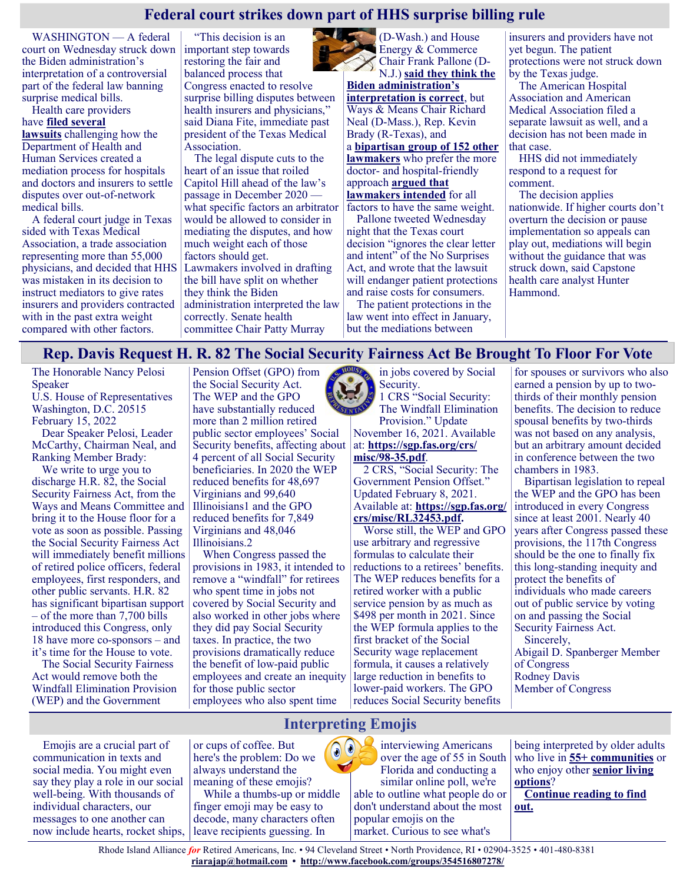## **Federal court strikes down part of HHS surprise billing rule**

WASHINGTON — A federal court on Wednesday struck down the Biden administration's interpretation of a controversial part of the federal law banning surprise medical bills.

Health care providers have **[filed several](https://www.statnews.com/2021/12/09/hospital-physician-lobbies-sue-biden-administration-over-surprise-billing-regulation/)  [lawsuits](https://www.statnews.com/2021/12/09/hospital-physician-lobbies-sue-biden-administration-over-surprise-billing-regulation/)** challenging how the Department of Health and Human Services created a mediation process for hospitals and doctors and insurers to settle disputes over out-of-network medical bills.

A federal court judge in Texas sided with Texas Medical Association, a trade association representing more than 55,000 physicians, and decided that HHS was mistaken in its decision to instruct mediators to give rates insurers and providers contracted with in the past extra weight compared with other factors.

"This decision is an important step towards restoring the fair and balanced process that Congress enacted to resolve surprise billing disputes between health insurers and physicians," said Diana Fite, immediate past president of the Texas Medical Association.

The legal dispute cuts to the heart of an issue that roiled Capitol Hill ahead of the law's passage in December 2020 what specific factors an arbitrator would be allowed to consider in mediating the disputes, and how much weight each of those factors should get. Lawmakers involved in drafting the bill have split on whether they think the Biden administration interpreted the law correctly. Senate health committee Chair Patty Murray



(D-Wash.) and House **Energy & Commerce** Chair Frank Pallone (D-N.J.) **[said they think the](https://energycommerce.house.gov/newsroom/press-releases/pallone-murray-voice-support-for-biden-administration-s-surprise-billing)** 

**[Biden administration's](https://energycommerce.house.gov/newsroom/press-releases/pallone-murray-voice-support-for-biden-administration-s-surprise-billing)  [interpretation is correct](https://energycommerce.house.gov/newsroom/press-releases/pallone-murray-voice-support-for-biden-administration-s-surprise-billing)**, but Ways & Means Chair Richard Neal (D-Mass.), Rep. Kevin Brady (R-Texas), and a **[bipartisan group of 152 other](https://wenstrup.house.gov/uploadedfiles/2021.11.05_no_surprises_act_letter.pdf)  [lawmakers](https://wenstrup.house.gov/uploadedfiles/2021.11.05_no_surprises_act_letter.pdf)** who prefer the more doctor- and hospital-friendly approach **[argued that](https://www.mcdermottplus.com/wp-content/uploads/2021/10/surprise-billing-regs-Neal-Brady-letter.pdf)  [lawmakers intended](https://www.mcdermottplus.com/wp-content/uploads/2021/10/surprise-billing-regs-Neal-Brady-letter.pdf)** for all factors to have the same weight. Pallone tweeted Wednesday night that the Texas court decision "ignores the clear letter

and intent" of the No Surprises Act, and wrote that the lawsuit will endanger patient protections and raise costs for consumers.

The patient protections in the law went into effect in January, but the mediations between

insurers and providers have not yet begun. The patient protections were not struck down by the Texas judge.

The American Hospital Association and American Medical Association filed a separate lawsuit as well, and a decision has not been made in that case.

HHS did not immediately respond to a request for comment.

The decision applies nationwide. If higher courts don't overturn the decision or pause implementation so appeals can play out, mediations will begin without the guidance that was struck down, said Capstone health care analyst Hunter Hammond.

#### **Rep. Davis Request H. R. 82 The Social Security Fairness Act Be Brought To Floor For Vote**

The Honorable Nancy Pelosi Speaker

U.S. House of Representatives Washington, D.C. 20515 February 15, 2022

Dear Speaker Pelosi, Leader McCarthy, Chairman Neal, and Ranking Member Brady:

We write to urge you to discharge H.R. 82, the Social Security Fairness Act, from the Ways and Means Committee and bring it to the House floor for a vote as soon as possible. Passing the Social Security Fairness Act will immediately benefit millions of retired police officers, federal employees, first responders, and other public servants. H.R. 82 has significant bipartisan support – of the more than 7,700 bills introduced this Congress, only 18 have more co-sponsors – and it's time for the House to vote.

The Social Security Fairness Act would remove both the Windfall Elimination Provision (WEP) and the Government

Pension Offset (GPO) from the Social Security Act. The WEP and the GPO have substantially reduced more than 2 million retired public sector employees' Social Security benefits, affecting about 4 percent of all Social Security beneficiaries. In 2020 the WEP reduced benefits for 48,697 Virginians and 99,640 Illinoisians1 and the GPO reduced benefits for 7,849 Virginians and 48,046 Illinoisians.2

When Congress passed the provisions in 1983, it intended to remove a "windfall" for retirees who spent time in jobs not covered by Social Security and also worked in other jobs where they did pay Social Security taxes. In practice, the two provisions dramatically reduce the benefit of low-paid public employees and create an inequity for those public sector employees who also spent time



1 CRS "Social Security: The Windfall Elimination Provision." Update November 16, 2021. Available at: **[https://sgp.fas.org/crs/](https://l.facebook.com/l.php?u=https%3A%2F%2Fsgp.fas.org%2Fcrs%2Fmisc%2F98-35.pdf%3Ffbclid%3DIwAR2xoCGGJzRoDS1LKP-Oy-gDSUdXTL0nmUxFR-cQ5WIjrN4ikA25PfZ5MAo&h=AT3vKBuTpGHOCIgy0Z4PV1ljOsq5ArzGbKwaaQSli-Z4tSzORBYpC45_2WaOHguasGNXqsN6fiN78P9YDXY-ULCyzcgmOpzHuSDGax)**

**[misc/98](https://l.facebook.com/l.php?u=https%3A%2F%2Fsgp.fas.org%2Fcrs%2Fmisc%2F98-35.pdf%3Ffbclid%3DIwAR2xoCGGJzRoDS1LKP-Oy-gDSUdXTL0nmUxFR-cQ5WIjrN4ikA25PfZ5MAo&h=AT3vKBuTpGHOCIgy0Z4PV1ljOsq5ArzGbKwaaQSli-Z4tSzORBYpC45_2WaOHguasGNXqsN6fiN78P9YDXY-ULCyzcgmOpzHuSDGax)-35.pdf**. 2 CRS, "Social Security: The

Government Pension Offset." Updated February 8, 2021. Available at: **[https://sgp.fas.org/](https://sgp.fas.org/crs/misc/RL32453.pdf?fbclid=IwAR07A_G3KfbDeyUOpT4XwwmibhEJjiA1gPIuel6R4L4onuxgyQvwTgUGWjk) [crs/misc/RL32453.pdf.](https://sgp.fas.org/crs/misc/RL32453.pdf?fbclid=IwAR07A_G3KfbDeyUOpT4XwwmibhEJjiA1gPIuel6R4L4onuxgyQvwTgUGWjk)**

Worse still, the WEP and GPO use arbitrary and regressive formulas to calculate their reductions to a retirees' benefits. The WEP reduces benefits for a retired worker with a public service pension by as much as \$498 per month in 2021. Since the WEP formula applies to the first bracket of the Social Security wage replacement formula, it causes a relatively large reduction in benefits to lower-paid workers. The GPO reduces Social Security benefits

for spouses or survivors who also earned a pension by up to twothirds of their monthly pension benefits. The decision to reduce spousal benefits by two-thirds was not based on any analysis, but an arbitrary amount decided in conference between the two chambers in 1983.

Bipartisan legislation to repeal the WEP and the GPO has been introduced in every Congress since at least 2001. Nearly 40 years after Congress passed these provisions, the 117th Congress should be the one to finally fix this long-standing inequity and protect the benefits of individuals who made careers out of public service by voting on and passing the Social Security Fairness Act.

Sincerely, Abigail D. Spanberger Member of Congress Rodney Davis Member of Congress

# **Interpreting Emojis**

Emojis are a crucial part of communication in texts and social media. You might even say they play a role in our social well-being. With thousands of individual characters, our messages to one another can now include hearts, rocket ships,

or cups of coffee. But here's the problem: Do we always understand the meaning of these emojis?

While a thumbs-up or middle finger emoji may be easy to decode, many characters often leave recipients guessing. In



interviewing Americans over the age of 55 in South Florida and conducting a similar online poll, we're able to outline what people do or don't understand about the most popular emojis on the market. Curious to see what's

being interpreted by older adults who live in **[55+ communities](https://www.greatseniorliving.com/living-options/55-plus-communities)** or who enjoy other **[senior living](https://www.greatseniorliving.com/living-options/)  [options](https://www.greatseniorliving.com/living-options/)**?

**[Continue reading to find](https://www.greatseniorliving.com/articles/interpreting-emojis)  [out.](https://www.greatseniorliving.com/articles/interpreting-emojis)**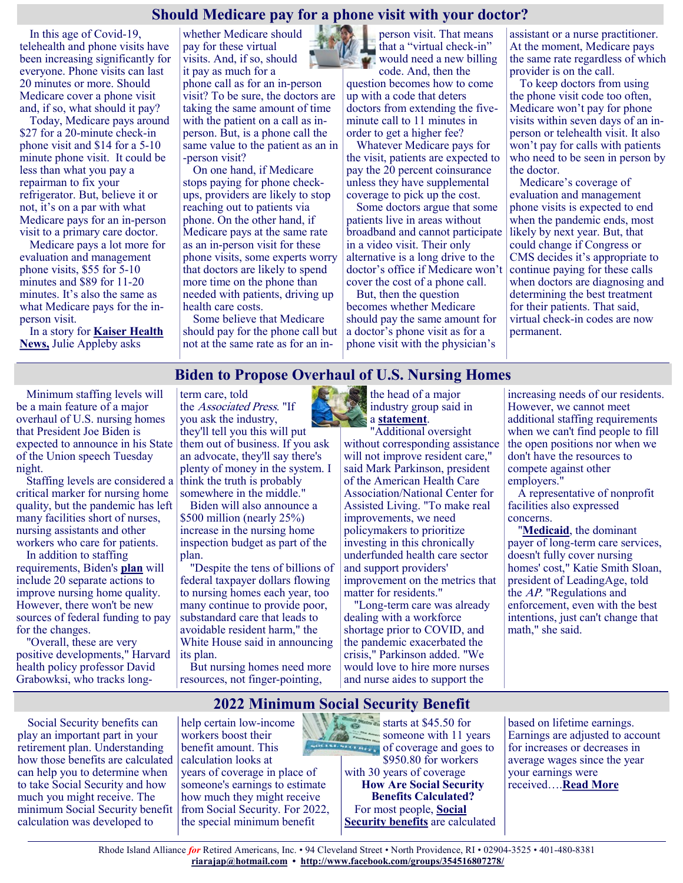#### **Should Medicare pay for a phone visit with your doctor?**

In this age of Covid-19, telehealth and phone visits have been increasing significantly for everyone. Phone visits can last 20 minutes or more. Should Medicare cover a phone visit and, if so, what should it pay?

Today, Medicare pays around \$27 for a 20-minute check-in phone visit and \$14 for a 5-10 minute phone visit. It could be less than what you pay a repairman to fix your refrigerator. But, believe it or not, it's on a par with what Medicare pays for an in-person visit to a primary care doctor.

Medicare pays a lot more for evaluation and management phone visits, \$55 for 5-10 minutes and \$89 for 11-20 minutes. It's also the same as what Medicare pays for the inperson visit.

In a story for **[Kaiser Health](https://khn.org/news/article/post-pandemic-billing-codes-physician-telehealth-virtual-checkup/)  [News,](https://khn.org/news/article/post-pandemic-billing-codes-physician-telehealth-virtual-checkup/)** Julie Appleby asks

whether Medicare should pay for these virtual visits. And, if so, should it pay as much for a phone call as for an in-person visit? To be sure, the doctors are taking the same amount of time with the patient on a call as inperson. But, is a phone call the same value to the patient as an in -person visit?

On one hand, if Medicare stops paying for phone checkups, providers are likely to stop reaching out to patients via phone. On the other hand, if Medicare pays at the same rate as an in-person visit for these phone visits, some experts worry that doctors are likely to spend more time on the phone than needed with patients, driving up health care costs.

Some believe that Medicare should pay for the phone call but not at the same rate as for an in-

person visit. That means that a "virtual check-in" would need a new billing code. And, then the

question becomes how to come up with a code that deters doctors from extending the fiveminute call to 11 minutes in order to get a higher fee?

Whatever Medicare pays for the visit, patients are expected to pay the 20 percent coinsurance unless they have supplemental coverage to pick up the cost.

Some doctors argue that some patients live in areas without broadband and cannot participate in a video visit. Their only alternative is a long drive to the doctor's office if Medicare won't cover the cost of a phone call.

But, then the question becomes whether Medicare should pay the same amount for a doctor's phone visit as for a phone visit with the physician's

assistant or a nurse practitioner. At the moment, Medicare pays the same rate regardless of which provider is on the call.

To keep doctors from using the phone visit code too often, Medicare won't pay for phone visits within seven days of an inperson or telehealth visit. It also won't pay for calls with patients who need to be seen in person by the doctor.

Medicare's coverage of evaluation and management phone visits is expected to end when the pandemic ends, most likely by next year. But, that could change if Congress or CMS decides it's appropriate to continue paying for these calls when doctors are diagnosing and determining the best treatment for their patients. That said, virtual check-in codes are now permanent.

#### **Biden to Propose Overhaul of U.S. Nursing Homes**

Minimum staffing levels will be a main feature of a major overhaul of U.S. nursing homes that President Joe Biden is expected to announce in his State of the Union speech Tuesday night.

Staffing levels are considered a critical marker for nursing home quality, but the pandemic has left many facilities short of nurses, nursing assistants and other workers who care for patients.

In addition to staffing requirements, Biden's **[plan](https://www.whitehouse.gov/briefing-room/statements-releases/2022/02/28/fact-sheet-protecting-seniors-and-people-with-disabilities-by-improving-safety-and-quality-of-care-in-the-nations-nursing-homes/)** will include 20 separate actions to improve nursing home quality. However, there won't be new sources of federal funding to pay for the changes.

"Overall, these are very positive developments," Harvard health policy professor David Grabowksi, who tracks longterm care, told the Associated Press. "If you ask the industry, they'll tell you this will put them out of business. If you ask an advocate, they'll say there's plenty of money in the system. I think the truth is probably somewhere in the middle."

Biden will also announce a \$500 million (nearly 25%) increase in the nursing home inspection budget as part of the plan.

"Despite the tens of billions of federal taxpayer dollars flowing to nursing homes each year, too many continue to provide poor, substandard care that leads to avoidable resident harm," the White House said in announcing its plan.

But nursing homes need more resources, not finger-pointing,

the head of a major industry group said in a **[statement](https://www.ahcancal.org/News-and-Communications/Press-Releases/Pages/Nursing-Home-Industry-Reacts-to-the-Biden-Administration%E2%80%99s-Nursing-Home-Reform-Plan.aspx)**.

"Additional oversight without corresponding assistance will not improve resident care." said Mark Parkinson, president of the American Health Care Association/National Center for Assisted Living. "To make real improvements, we need policymakers to prioritize investing in this chronically underfunded health care sector and support providers' improvement on the metrics that matter for residents."

"Long-term care was already dealing with a workforce shortage prior to COVID, and the pandemic exacerbated the crisis," Parkinson added. "We would love to hire more nurses and nurse aides to support the

increasing needs of our residents. However, we cannot meet additional staffing requirements when we can't find people to fill the open positions nor when we don't have the resources to compete against other employers."

A representative of nonprofit facilities also expressed concerns.

"**[Medicaid](https://www.medicaid.gov/medicaid/long-term-services-supports/institutional-long-term-care/nursing-facilities/index.html)**, the dominant payer of long-term care services, doesn't fully cover nursing homes' cost," Katie Smith Sloan, president of LeadingAge, told the AP. "Regulations and enforcement, even with the best intentions, just can't change that math," she said.

Social Security benefits can play an important part in your retirement plan. Understanding how those benefits are calculated can help you to determine when to take Social Security and how much you might receive. The minimum Social Security benefit calculation was developed to

help certain low-income workers boost their benefit amount. This calculation looks at years of coverage in place of someone's earnings to estimate how much they might receive from Social Security. For 2022, the special minimum benefit

 $\frac{1}{2}$   $\frac{3}{2}$   $\frac{3}{2}$   $\frac{3}{2}$   $\frac{3}{2}$  starts at \$45.50 for someone with 11 years **of coverage and goes to** \$950.80 for workers with 30 years of coverage **How Are Social Security Benefits Calculated?** For most people, **[Social](https://smartasset.com/retirement/social-security-calculator)  [Security benefits](https://smartasset.com/retirement/social-security-calculator)** are calculated **2022 Minimum Social Security Benefit**

based on lifetime earnings. Earnings are adjusted to account for increases or decreases in average wages since the year your earnings were received….**[Read More](https://www.msn.com/en-us/money/retirement/2022-minimum-social-security-benefit/ar-AAUwHLD?ocid=SK2DDHP)**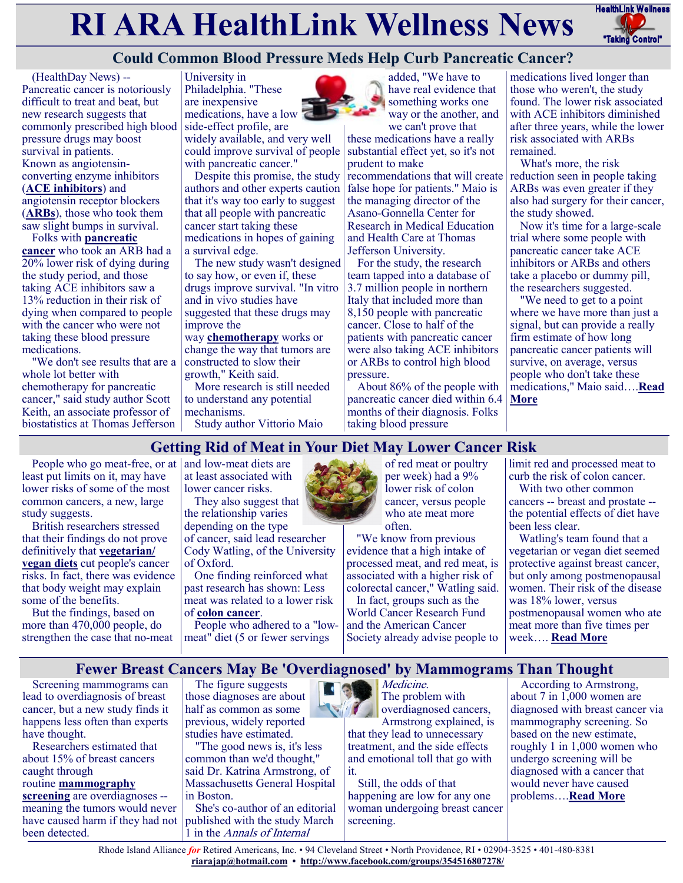# **RI ARA HealthLink Wellness News** HealthLink Wellness



# **Could Common Blood Pressure Meds Help Curb Pancreatic Cancer?**

(HealthDay News) -- Pancreatic cancer is notoriously difficult to treat and beat, but new research suggests that commonly prescribed high blood pressure drugs may boost survival in patients. Known as angiotensinconverting enzyme inhibitors (**[ACE inhibitors](https://medlineplus.gov/ency/patientinstructions/000087.htm)**) and angiotensin receptor blockers (**[ARBs](https://www.uofmhealth.org/health-library/pl1009)**), those who took them saw slight bumps in survival.

Folks with **[pancreatic](https://www.cancer.org/cancer/pancreatic-cancer.html)  [cancer](https://www.cancer.org/cancer/pancreatic-cancer.html)** who took an ARB had a 20% lower risk of dying during the study period, and those taking ACE inhibitors saw a 13% reduction in their risk of dying when compared to people with the cancer who were not taking these blood pressure medications.

"We don't see results that are a whole lot better with chemotherapy for pancreatic cancer," said study author Scott Keith, an associate professor of biostatistics at Thomas Jefferson

University in Philadelphia. "These are inexpensive medications, have a low side-effect profile, are widely available, and very well could improve survival of people with pancreatic cancer."

Despite this promise, the study authors and other experts caution that it's way too early to suggest that all people with pancreatic cancer start taking these medications in hopes of gaining a survival edge.

The new study wasn't designed to say how, or even if, these drugs improve survival. "In vitro and in vivo studies have suggested that these drugs may improve the

way **[chemotherapy](https://www.cancer.org/treatment/treatments-and-side-effects/treatment-types/chemotherapy.html)** works or change the way that tumors are constructed to slow their growth," Keith said.

More research is still needed to understand any potential mechanisms. Study author Vittorio Maio



have real evidence that something works one way or the another, and we can't prove that

these medications have a really substantial effect yet, so it's not prudent to make

recommendations that will create false hope for patients." Maio is the managing director of the Asano-Gonnella Center for Research in Medical Education and Health Care at Thomas Jefferson University.

For the study, the research team tapped into a database of 3.7 million people in northern Italy that included more than 8,150 people with pancreatic cancer. Close to half of the patients with pancreatic cancer were also taking ACE inhibitors or ARBs to control high blood pressure.

About 86% of the people with pancreatic cancer died within 6.4 months of their diagnosis. Folks taking blood pressure

medications lived longer than those who weren't, the study found. The lower risk associated with ACE inhibitors diminished after three years, while the lower risk associated with ARBs remained.

What's more, the risk reduction seen in people taking ARBs was even greater if they also had surgery for their cancer, the study showed.

Now it's time for a large-scale trial where some people with pancreatic cancer take ACE inhibitors or ARBs and others take a placebo or dummy pill, the researchers suggested.

"We need to get to a point where we have more than just a signal, but can provide a really firm estimate of how long pancreatic cancer patients will survive, on average, versus people who don't take these medications," Maio said….**[Read](https://consumer.healthday.com/2-23-could-common-blood-pressure-meds-help-curb-pancreatic-cancer-2656710608.html)  [More](https://consumer.healthday.com/2-23-could-common-blood-pressure-meds-help-curb-pancreatic-cancer-2656710608.html)**

#### **Getting Rid of Meat in Your Diet May Lower Cancer Risk**

People who go meat-free, or at  $|$  and low-meat diets are least put limits on it, may have lower risks of some of the most common cancers, a new, large study suggests.

British researchers stressed that their findings do not prove definitively that **[vegetarian/](https://www.cedars-sinai.org/blog/is-vegetarian-or-vegan-diet-healthy.html) [vegan diets](https://www.cedars-sinai.org/blog/is-vegetarian-or-vegan-diet-healthy.html)** cut people's cancer risks. In fact, there was evidence that body weight may explain some of the benefits.

But the findings, based on more than 470,000 people, do strengthen the case that no-meat

at least associated with lower cancer risks. They also suggest that

the relationship varies depending on the type of cancer, said lead researcher Cody Watling, of the University of Oxford.

One finding reinforced what past research has shown: Less meat was related to a lower risk of **[colon cancer](https://www.cdc.gov/cancer/colorectal/basic_info/what-is-colorectal-cancer.htm#:~:text=Colorectal%20cancer%20is%20a%20disease,the%20colon%20to%20the%20anus.)**.

People who adhered to a "lowmeat" diet (5 or fewer servings



of red meat or poultry per week) had a 9% lower risk of colon cancer, versus people who ate meat more often.

"We know from previous evidence that a high intake of processed meat, and red meat, is associated with a higher risk of colorectal cancer," Watling said.

In fact, groups such as the World Cancer Research Fund and the American Cancer Society already advise people to limit red and processed meat to curb the risk of colon cancer.

With two other common cancers -- breast and prostate - the potential effects of diet have been less clear.

Watling's team found that a vegetarian or vegan diet seemed protective against breast cancer, but only among postmenopausal women. Their risk of the disease was 18% lower, versus postmenopausal women who ate meat more than five times per week…. **[Read More](https://consumer.healthday.com/2-24-getting-rid-of-meat-in-your-diet-may-lower-your-cancer-risk-2656758076.html)**

#### **Fewer Breast Cancers May Be 'Overdiagnosed' by Mammograms Than Thought**

Screening mammograms can lead to overdiagnosis of breast cancer, but a new study finds it happens less often than experts have thought.

Researchers estimated that about 15% of breast cancers caught through

routine **[mammography](https://www.cdc.gov/cancer/breast/basic_info/mammograms.htm)** 

**[screening](https://www.cdc.gov/cancer/breast/basic_info/mammograms.htm)** are overdiagnoses - meaning the tumors would never have caused harm if they had not been detected.

The figure suggests those diagnoses are about half as common as some previous, widely reported studies have estimated.

"The good news is, it's less common than we'd thought," said Dr. Katrina Armstrong, of Massachusetts General Hospital in Boston.

She's co-author of an editorial published with the study March 1 in the Annals of Internal



The problem with **overdiagnosed cancers,** Armstrong explained, is that they lead to unnecessary treatment, and the side effects and emotional toll that go with it.

> Still, the odds of that happening are low for any one woman undergoing breast cancer screening.

According to Armstrong, about 7 in 1,000 women are diagnosed with breast cancer via mammography screening. So based on the new estimate, roughly 1 in 1,000 women who undergo screening will be diagnosed with a cancer that would never have caused problems….**[Read More](https://consumer.healthday.com/2-29-fewer-breast-cancers-may-be-over-diagnosed-on-mammograms-than-thought-2656776509.html)**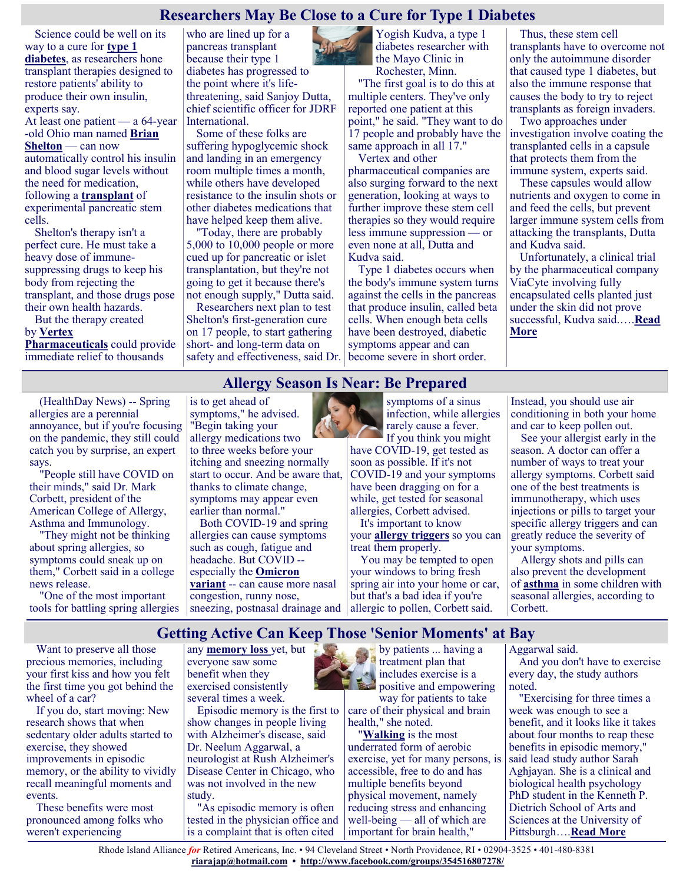#### **Researchers May Be Close to a Cure for Type 1 Diabetes**

Science could be well on its way to a cure for **[type 1](https://www.mayoclinic.org/diseases-conditions/type-1-diabetes/symptoms-causes/syc-20353011)  [diabetes](https://www.mayoclinic.org/diseases-conditions/type-1-diabetes/symptoms-causes/syc-20353011)**, as researchers hone transplant therapies designed to restore patients' ability to produce their own insulin, experts say.

At least one patient — a 64-year -old Ohio man named **[Brian](https://www.nytimes.com/2021/11/27/health/diabetes-cure-stem-cells.html)  [Shelton](https://www.nytimes.com/2021/11/27/health/diabetes-cure-stem-cells.html)** — can now automatically control his insulin and blood sugar levels without the need for medication, following a **[transplant](https://www.jci.org/articles/view/158305)** of experimental pancreatic stem cells.

Shelton's therapy isn't a perfect cure. He must take a heavy dose of immunesuppressing drugs to keep his body from rejecting the transplant, and those drugs pose their own health hazards.

But the therapy created by **[Vertex](https://www.vrtx.com/research-development/pipeline/type-1-diabetes/)  [Pharmaceuticals](https://www.vrtx.com/research-development/pipeline/type-1-diabetes/)** could provide immediate relief to thousands

who are lined up for a pancreas transplant because their type 1 diabetes has progressed to the point where it's lifethreatening, said Sanjoy Dutta, chief scientific officer for JDRF International.

Some of these folks are suffering hypoglycemic shock and landing in an emergency room multiple times a month, while others have developed resistance to the insulin shots or other diabetes medications that have helped keep them alive.

"Today, there are probably 5,000 to 10,000 people or more cued up for pancreatic or islet transplantation, but they're not going to get it because there's not enough supply," Dutta said.

Researchers next plan to test Shelton's first-generation cure on 17 people, to start gathering short- and long-term data on safety and effectiveness, said Dr. become severe in short order.

Yogish Kudva, a type 1 diabetes researcher with the Mayo Clinic in Rochester, Minn.

"The first goal is to do this at multiple centers. They've only reported one patient at this point," he said. "They want to do 17 people and probably have the same approach in all 17."

Vertex and other pharmaceutical companies are also surging forward to the next generation, looking at ways to further improve these stem cell therapies so they would require less immune suppression — or even none at all, Dutta and Kudva said.

Type 1 diabetes occurs when the body's immune system turns against the cells in the pancreas that produce insulin, called beta cells. When enough beta cells have been destroyed, diabetic symptoms appear and can

Thus, these stem cell transplants have to overcome not only the autoimmune disorder that caused type 1 diabetes, but also the immune response that causes the body to try to reject transplants as foreign invaders.

Two approaches under investigation involve coating the transplanted cells in a capsule that protects them from the immune system, experts said.

These capsules would allow nutrients and oxygen to come in and feed the cells, but prevent larger immune system cells from attacking the transplants, Dutta and Kudva said.

Unfortunately, a clinical trial by the pharmaceutical company ViaCyte involving fully encapsulated cells planted just under the skin did not prove successful, Kudva said.….**[Read](https://consumer.healthday.com/type-1-diabetes-2656660912.html)  [More](https://consumer.healthday.com/type-1-diabetes-2656660912.html)**

#### **Allergy Season Is Near: Be Prepared**

(HealthDay News) -- Spring allergies are a perennial annoyance, but if you're focusing on the pandemic, they still could catch you by surprise, an expert says.

"People still have COVID on their minds," said Dr. Mark Corbett, president of the American College of Allergy, Asthma and Immunology.

"They might not be thinking about spring allergies, so symptoms could sneak up on them," Corbett said in a college news release.

"One of the most important tools for battling spring allergies is to get ahead of symptoms," he advised. "Begin taking your allergy medications two to three weeks before your itching and sneezing normally start to occur. And be aware that, thanks to climate change, symptoms may appear even earlier than normal."

Both COVID-19 and spring allergies can cause symptoms such as cough, fatigue and headache. But COVID - especially the **[Omicron](https://www.cdc.gov/coronavirus/2019-ncov/variants/omicron-variant.html)  [variant](https://www.cdc.gov/coronavirus/2019-ncov/variants/omicron-variant.html)** -- can cause more nasal congestion, runny nose,

symptoms of a sinus infection, while allergies rarely cause a fever.

If you think you might have COVID-19, get tested as soon as possible. If it's not COVID-19 and your symptoms have been dragging on for a while, get tested for seasonal allergies, Corbett advised. It's important to know

your **[allergy triggers](https://acaai.org/allergies/allergic-conditions/seasonal-allergies/)** so you can treat them properly.

sneezing, postnasal drainage and allergic to pollen, Corbett said. You may be tempted to open your windows to bring fresh spring air into your home or car, but that's a bad idea if you're

Instead, you should use air conditioning in both your home and car to keep pollen out.

See your allergist early in the season. A doctor can offer a number of ways to treat your allergy symptoms. Corbett said one of the best treatments is immunotherapy, which uses injections or pills to target your specific allergy triggers and can greatly reduce the severity of your symptoms.

Allergy shots and pills can also prevent the development of **[asthma](https://www.cdc.gov/asthma/faqs.htm)** in some children with seasonal allergies, according to Corbett.

# **Getting Active Can Keep Those 'Senior Moments' at Bay**

Want to preserve all those precious memories, including your first kiss and how you felt the first time you got behind the wheel of a car?

If you do, start moving: New research shows that when sedentary older adults started to exercise, they showed improvements in episodic memory, or the ability to vividly recall meaningful moments and events.

These benefits were most pronounced among folks who weren't experiencing

any **[memory loss](https://medlineplus.gov/ency/article/003257.htm#:~:text=Memory%20loss%20(amnesia)%20is%20unusual,can%20get%20worse%20over%20time.)** yet, but everyone saw some benefit when they exercised consistently several times a week.

Episodic memory is the first to show changes in people living with Alzheimer's disease, said Dr. Neelum Aggarwal, a neurologist at Rush Alzheimer's Disease Center in Chicago, who was not involved in the new study.

"As episodic memory is often tested in the physician office and is a complaint that is often cited

by patients ... having a treatment plan that includes exercise is a **Propositive and empowering** 

way for patients to take care of their physical and brain health," she noted.

"**[Walking](https://www.healthinaging.org/tools-and-tips/tip-sheet-walking-older-adults)** is the most underrated form of aerobic exercise, yet for many persons, is accessible, free to do and has multiple benefits beyond physical movement, namely reducing stress and enhancing well-being — all of which are important for brain health,"

Aggarwal said.

And you don't have to exercise every day, the study authors noted.

"Exercising for three times a week was enough to see a benefit, and it looks like it takes about four months to reap these benefits in episodic memory," said lead study author Sarah Aghjayan. She is a clinical and biological health psychology PhD student in the Kenneth P. Dietrich School of Arts and Sciences at the University of Pittsburgh….**[Read More](https://www.usnews.com/news/health-news/articles/2022-02-21/getting-active-can-keep-those-senior-moments-at-bay)**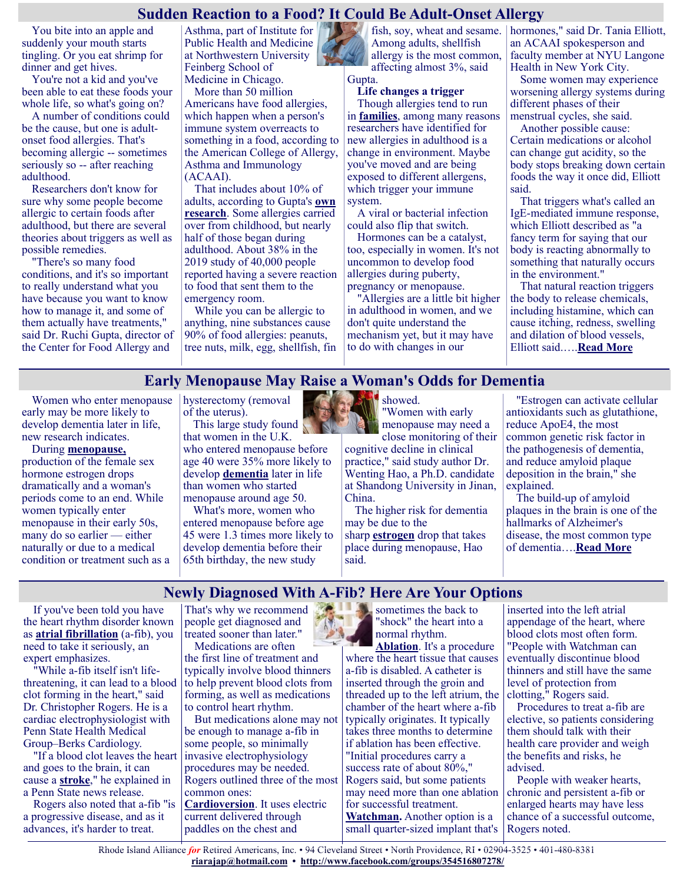#### **Sudden Reaction to a Food? It Could Be Adult-Onset Allergy**

You bite into an apple and suddenly your mouth starts tingling. Or you eat shrimp for dinner and get hives.

You're not a kid and you've been able to eat these foods your whole life, so what's going on?

A number of conditions could be the cause, but one is adultonset food allergies. That's becoming allergic -- sometimes seriously so -- after reaching adulthood.

Researchers don't know for sure why some people become allergic to certain foods after adulthood, but there are several theories about triggers as well as possible remedies.

"There's so many food conditions, and it's so important to really understand what you have because you want to know how to manage it, and some of them actually have treatments," said Dr. Ruchi Gupta, director of the Center for Food Allergy and

Asthma, part of Institute for Public Health and Medicine at Northwestern University Feinberg School of Medicine in Chicago.

More than 50 million Americans have food allergies, which happen when a person's immune system overreacts to something in a food, according to the American College of Allergy, Asthma and Immunology (ACAAI).

That includes about 10% of adults, according to Gupta's **[own](https://jamanetwork.com/journals/jamanetworkopen/fullarticle/2720064)  [research](https://jamanetwork.com/journals/jamanetworkopen/fullarticle/2720064)**. Some allergies carried over from childhood, but nearly half of those began during adulthood. About 38% in the 2019 study of 40,000 people reported having a severe reaction to food that sent them to the emergency room.

While you can be allergic to anything, nine substances cause 90% of food allergies: peanuts, tree nuts, milk, egg, shellfish, fin Among adults, shellfish allergy is the most common, affecting almost 3%, said

#### Gupta. **Life changes a trigger**

Though allergies tend to run in **[families](https://share.upmc.com/2019/01/seasonal-allergies/)**, among many reasons researchers have identified for new allergies in adulthood is a change in environment. Maybe you've moved and are being exposed to different allergens, which trigger your immune system.

A viral or bacterial infection could also flip that switch.

Hormones can be a catalyst, too, especially in women. It's not uncommon to develop food allergies during puberty, pregnancy or menopause.

"Allergies are a little bit higher in adulthood in women, and we don't quite understand the mechanism yet, but it may have to do with changes in our

fish, soy, wheat and sesame. hormones," said Dr. Tania Elliott, an ACAAI spokesperson and faculty member at NYU Langone Health in New York City.

Some women may experience worsening allergy systems during different phases of their menstrual cycles, she said.

Another possible cause: Certain medications or alcohol can change gut acidity, so the body stops breaking down certain foods the way it once did, Elliott said.

That triggers what's called an IgE-mediated immune response, which Elliott described as "a fancy term for saying that our body is reacting abnormally to something that naturally occurs in the environment."

That natural reaction triggers the body to release chemicals, including histamine, which can cause itching, redness, swelling and dilation of blood vessels, Elliott said.….**[Read More](https://consumer.healthday.com/2-24-sudden-reaction-to-a-food-it-could-be-adult-onset-allergy-2656750008.html)**

#### **Early Menopause May Raise a Woman's Odds for Dementia**

Women who enter menopause early may be more likely to develop dementia later in life, new research indicates.

During **[menopause,](https://www.nia.nih.gov/health/what-menopause)** production of the female sex hormone estrogen drops dramatically and a woman's periods come to an end. While women typically enter menopause in their early 50s, many do so earlier — either naturally or due to a medical condition or treatment such as a hysterectomy (removal of the uterus). This large study found

that women in the U.K. who entered menopause before age 40 were 35% more likely to develop **[dementia](https://medlineplus.gov/dementia.html)** later in life than women who started menopause around age 50.

What's more, women who entered menopause before age 45 were 1.3 times more likely to develop dementia before their 65th birthday, the new study



showed. "Women with early menopause may need a close monitoring of their

cognitive decline in clinical practice," said study author Dr. Wenting Hao, a Ph.D. candidate at Shandong University in Jinan, China.

The higher risk for dementia may be due to the sharp **[estrogen](https://www.hopkinsmedicine.org/health/conditions-and-diseases/estrogens-effects-on-the-female-body#:~:text=Estrogens%20are%20a%20group%20of,small%20amounts%20of%20the%20hormones.)** drop that takes place during menopause, Hao said.

"Estrogen can activate cellular antioxidants such as glutathione, reduce ApoE4, the most common genetic risk factor in the pathogenesis of dementia, and reduce amyloid plaque deposition in the brain," she explained.

The build-up of amyloid plaques in the brain is one of the hallmarks of Alzheimer's disease, the most common type of dementia….**[Read More](https://consumer.healthday.com/dementia-2656776763.html)**

#### **Newly Diagnosed With A-Fib? Here Are Your Options**

If you've been told you have the heart rhythm disorder known as **[atrial fibrillation](https://www.heartfoundation.org.nz/your-heart/hearthelp/atrial-fibrillation/living-with-af)** (a-fib), you need to take it seriously, an expert emphasizes.

"While a-fib itself isn't lifethreatening, it can lead to a blood clot forming in the heart," said Dr. Christopher Rogers. He is a cardiac electrophysiologist with Penn State Health Medical Group–Berks Cardiology.

"If a blood clot leaves the heart and goes to the brain, it can cause a **[stroke](https://www.stoptheclot.org/about-clots/afib-2/)**," he explained in a Penn State news release.

Rogers also noted that a-fib "is a progressive disease, and as it advances, it's harder to treat.

That's why we recommend people get diagnosed and treated sooner than later." Medications are often

the first line of treatment and typically involve blood thinners to help prevent blood clots from forming, as well as medications to control heart rhythm.

But medications alone may not be enough to manage a-fib in some people, so minimally invasive electrophysiology procedures may be needed. Rogers outlined three of the most common ones: **[Cardioversion](https://www.hopkinsmedicine.org/health/treatment-tests-and-therapies/electrical-cardioversion#:~:text=Cardioversion%20is%20a%20procedure%20used,and%20even%20sudden%20cardiac%20death.)**. It uses electric current delivered through paddles on the chest and

sometimes the back to "shock" the heart into a normal rhythm.

**[Ablation](https://www.hopkinsmedicine.org/health/treatment-tests-and-therapies/atrial-fibrillation-ablation#:~:text=Ablation%20is%20a%20procedure%20to,The%20heart%20has%204%20chambers.)**. It's a procedure where the heart tissue that causes a-fib is disabled. A catheter is inserted through the groin and threaded up to the left atrium, the chamber of the heart where a-fib typically originates. It typically takes three months to determine if ablation has been effective. "Initial procedures carry a success rate of about 80%," Rogers said, but some patients may need more than one ablation for successful treatment. **[Watchman.](https://www.midmichigan.org/conditions-treatments/cardiovascular/specialized-programs/watchman/)** Another option is a small quarter-sized implant that's

inserted into the left atrial appendage of the heart, where blood clots most often form. "People with Watchman can eventually discontinue blood thinners and still have the same level of protection from clotting," Rogers said.

Procedures to treat a-fib are elective, so patients considering them should talk with their health care provider and weigh the benefits and risks, he advised.

People with weaker hearts, chronic and persistent a-fib or enlarged hearts may have less chance of a successful outcome, Rogers noted.